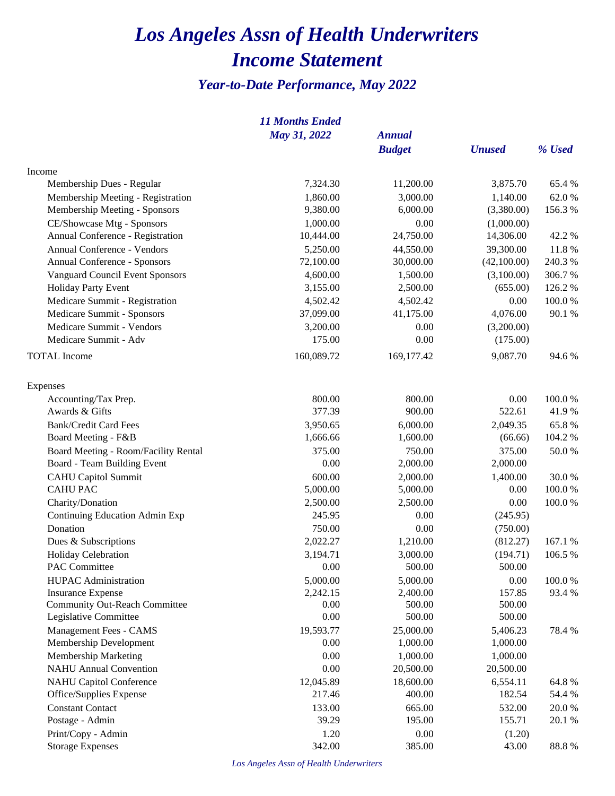## *Los Angeles Assn of Health Underwriters Income Statement*

## *Year-to-Date Performance, May 2022*

|                                      | <b>11 Months Ended</b> |               |               |            |
|--------------------------------------|------------------------|---------------|---------------|------------|
|                                      | May 31, 2022           | <b>Annual</b> |               |            |
|                                      |                        | <b>Budget</b> | <b>Unused</b> | % Used     |
| Income                               |                        |               |               |            |
| Membership Dues - Regular            | 7,324.30               | 11,200.00     | 3,875.70      | 65.4 %     |
| Membership Meeting - Registration    | 1,860.00               | 3,000.00      | 1,140.00      | 62.0%      |
| Membership Meeting - Sponsors        | 9,380.00               | 6,000.00      | (3,380.00)    | 156.3%     |
| CE/Showcase Mtg - Sponsors           | 1,000.00               | 0.00          | (1,000.00)    |            |
| Annual Conference - Registration     | 10,444.00              | 24,750.00     | 14,306.00     | 42.2 %     |
| Annual Conference - Vendors          | 5,250.00               | 44,550.00     | 39,300.00     | 11.8 %     |
| Annual Conference - Sponsors         | 72,100.00              | 30,000.00     | (42,100.00)   | 240.3 %    |
| Vanguard Council Event Sponsors      | 4,600.00               | 1,500.00      | (3,100.00)    | 306.7%     |
| Holiday Party Event                  | 3,155.00               | 2,500.00      | (655.00)      | 126.2 %    |
| Medicare Summit - Registration       | 4,502.42               | 4,502.42      | 0.00          | $100.0~\%$ |
| Medicare Summit - Sponsors           | 37,099.00              | 41,175.00     | 4,076.00      | 90.1 %     |
| Medicare Summit - Vendors            | 3,200.00               | 0.00          | (3,200.00)    |            |
| Medicare Summit - Adv                | 175.00                 | 0.00          | (175.00)      |            |
| <b>TOTAL</b> Income                  | 160,089.72             | 169,177.42    | 9,087.70      | 94.6 %     |
| Expenses                             |                        |               |               |            |
| Accounting/Tax Prep.                 | 800.00                 | 800.00        | 0.00          | 100.0%     |
| Awards & Gifts                       | 377.39                 | 900.00        | 522.61        | 41.9%      |
| <b>Bank/Credit Card Fees</b>         | 3,950.65               | 6,000.00      | 2,049.35      | 65.8%      |
| Board Meeting - F&B                  | 1,666.66               | 1,600.00      | (66.66)       | 104.2 %    |
| Board Meeting - Room/Facility Rental | 375.00                 | 750.00        | 375.00        | 50.0%      |
| Board - Team Building Event          | 0.00                   | 2,000.00      | 2,000.00      |            |
| <b>CAHU</b> Capitol Summit           | 600.00                 | 2,000.00      | 1,400.00      | 30.0%      |
| <b>CAHU PAC</b>                      | 5,000.00               | 5,000.00      | 0.00          | 100.0%     |
| Charity/Donation                     | 2,500.00               | 2,500.00      | 0.00          | 100.0%     |
| Continuing Education Admin Exp       | 245.95                 | 0.00          | (245.95)      |            |
| Donation                             | 750.00                 | 0.00          | (750.00)      |            |
| Dues & Subscriptions                 | 2,022.27               | 1,210.00      | (812.27)      | 167.1 %    |
| Holiday Celebration                  | 3,194.71               | 3,000.00      | (194.71)      | 106.5 %    |
| PAC Committee                        | 0.00                   | 500.00        | 500.00        |            |
| <b>HUPAC</b> Administration          | 5,000.00               | 5,000.00      | 0.00          | 100.0%     |
| <b>Insurance Expense</b>             | 2,242.15               | 2,400.00      | 157.85        | 93.4 %     |
| <b>Community Out-Reach Committee</b> | 0.00                   | 500.00        | 500.00        |            |
| Legislative Committee                | 0.00                   | 500.00        | 500.00        |            |
| Management Fees - CAMS               | 19,593.77              | 25,000.00     | 5,406.23      | 78.4 %     |
| Membership Development               | 0.00                   | 1,000.00      | 1,000.00      |            |
| Membership Marketing                 | 0.00                   | 1,000.00      | 1,000.00      |            |
| <b>NAHU</b> Annual Convention        | 0.00                   | 20,500.00     | 20,500.00     |            |
| <b>NAHU Capitol Conference</b>       | 12,045.89              | 18,600.00     | 6,554.11      | 64.8%      |
| Office/Supplies Expense              | 217.46                 | 400.00        | 182.54        | 54.4 %     |
| <b>Constant Contact</b>              | 133.00                 | 665.00        | 532.00        | 20.0%      |
| Postage - Admin                      | 39.29                  | 195.00        | 155.71        | 20.1 %     |
| Print/Copy - Admin                   | 1.20                   | 0.00          | (1.20)        |            |
| <b>Storage Expenses</b>              | 342.00                 | 385.00        | 43.00         | 88.8%      |

*Los Angeles Assn of Health Underwriters*